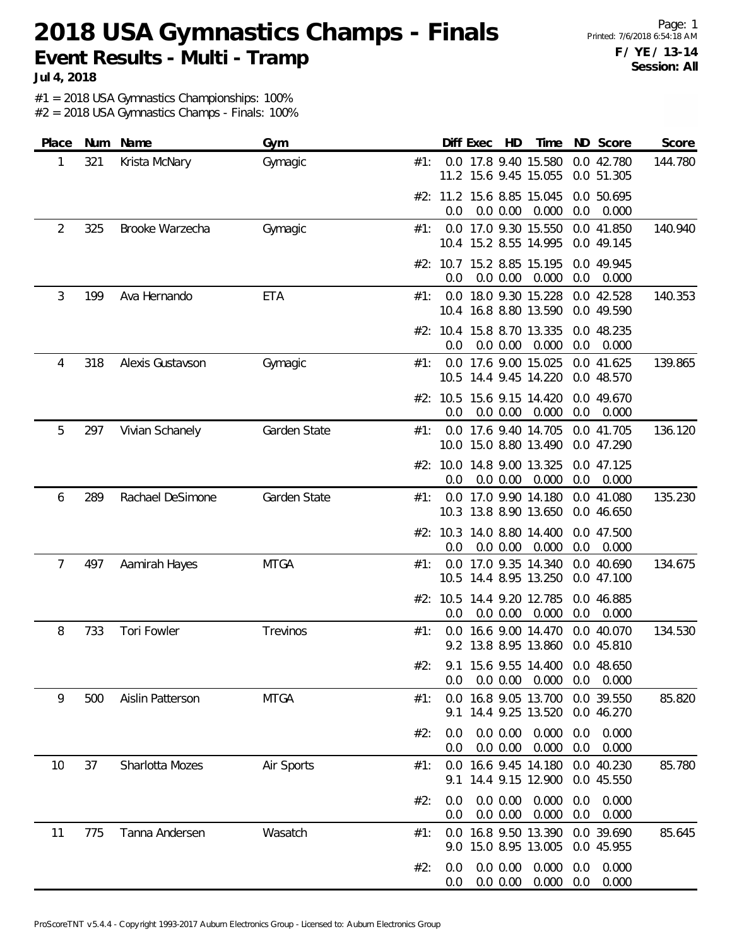**Jul 4, 2018**

#1 = 2018 USA Gymnastics Championships: 100%

| Place |     | Num Name         | Gym          |     |                | Diff Exec | HD                   | Time                                                               |            | ND Score                 | Score   |
|-------|-----|------------------|--------------|-----|----------------|-----------|----------------------|--------------------------------------------------------------------|------------|--------------------------|---------|
| 1     | 321 | Krista McNary    | Gymagic      | #1: |                |           |                      | 0.0 17.8 9.40 15.580<br>11.2 15.6 9.45 15.055                      |            | 0.0 42.780<br>0.0 51.305 | 144.780 |
|       |     |                  |              |     | 0.0            |           | 0.0 0.00             | #2: 11.2 15.6 8.85 15.045<br>0.000                                 | 0.0        | 0.0 50.695<br>0.000      |         |
| 2     | 325 | Brooke Warzecha  | Gymagic      | #1: |                |           |                      | 0.0 17.0 9.30 15.550<br>10.4 15.2 8.55 14.995                      |            | 0.0 41.850<br>0.0 49.145 | 140.940 |
|       |     |                  |              |     | 0.0            |           | 0.0 0.00             | #2: 10.7 15.2 8.85 15.195<br>0.000                                 | 0.0        | 0.0 49.945<br>0.000      |         |
| 3     | 199 | Ava Hernando     | <b>ETA</b>   | #1: |                |           |                      | 0.0 18.0 9.30 15.228<br>10.4 16.8 8.80 13.590                      |            | 0.0 42.528<br>0.0 49.590 | 140.353 |
|       |     |                  |              |     | 0.0            |           | 0.0 0.00             | #2: 10.4 15.8 8.70 13.335<br>0.000                                 | 0.0        | 0.0 48.235<br>0.000      |         |
| 4     | 318 | Alexis Gustavson | Gymagic      | #1: | 0.0            |           |                      | 17.6 9.00 15.025<br>10.5 14.4 9.45 14.220                          |            | 0.0 41.625<br>0.0 48.570 | 139.865 |
|       |     |                  |              |     | 0.0            |           | 0.0 0.00             | #2: 10.5 15.6 9.15 14.420<br>0.000                                 | 0.0        | 0.0 49.670<br>0.000      |         |
| 5     | 297 | Vivian Schanely  | Garden State | #1: |                |           |                      | 0.0 17.6 9.40 14.705<br>10.0 15.0 8.80 13.490                      |            | 0.0 41.705<br>0.0 47.290 | 136.120 |
|       |     |                  |              |     | 0.0            |           | 0.0 0.00             | #2: 10.0 14.8 9.00 13.325<br>0.000                                 | 0.0        | 0.0 47.125<br>0.000      |         |
| 6     | 289 | Rachael DeSimone | Garden State | #1: |                |           |                      | 0.0 17.0 9.90 14.180 0.0 41.080<br>10.3 13.8 8.90 13.650           |            | 0.0 46.650               | 135.230 |
|       |     |                  |              |     | 0.0            |           | 0.0 0.00             | #2: 10.3 14.0 8.80 14.400<br>0.000                                 | 0.0        | 0.0 47.500<br>0.000      |         |
| 7     | 497 | Aamirah Hayes    | <b>MTGA</b>  | #1: | 0.0            |           |                      | 17.0 9.35 14.340<br>10.5 14.4 8.95 13.250                          |            | 0.0 40.690<br>0.0 47.100 | 134.675 |
|       |     |                  |              |     | 0.0            |           | 0.0 0.00             | #2: 10.5 14.4 9.20 12.785<br>0.000                                 | 0.0        | 0.0 46.885<br>0.000      |         |
| 8     | 733 | Tori Fowler      | Trevinos     | #1: |                |           |                      | 0.0 16.6 9.00 14.470<br>9.2 13.8 8.95 13.860                       |            | 0.0 40.070<br>0.0 45.810 | 134.530 |
|       |     |                  |              | #2: |                |           |                      | 9.1 15.6 9.55 14.400 0.0 48.650<br>$0.0$ 0.0 0.00 0.000 0.0 0.000  |            |                          |         |
| 9     | 500 | Aislin Patterson | <b>MTGA</b>  | #1: |                |           |                      | 0.0 16.8 9.05 13.700 0.0 39.550<br>9.1 14.4 9.25 13.520 0.0 46.270 |            |                          | 85.820  |
|       |     |                  |              | #2: | 0.0<br>0.0     |           | 0.0 0.00<br>0.0 0.00 | 0.000<br>0.000                                                     | 0.0<br>0.0 | 0.000<br>0.000           |         |
| 10    | 37  | Sharlotta Mozes  | Air Sports   | #1: | 9.1            |           |                      | 0.0 16.6 9.45 14.180<br>14.4 9.15 12.900                           |            | 0.0 40.230<br>0.0 45.550 | 85.780  |
|       |     |                  |              | #2: | 0.0<br>$0.0\,$ |           | 0.0 0.00<br>0.0 0.00 | 0.000<br>0.000                                                     | 0.0<br>0.0 | 0.000<br>0.000           |         |
| 11    | 775 | Tanna Andersen   | Wasatch      | #1: |                |           |                      | 0.0 16.8 9.50 13.390<br>9.0 15.0 8.95 13.005                       |            | 0.0 39.690<br>0.0 45.955 | 85.645  |
|       |     |                  |              | #2: | 0.0<br>$0.0\,$ |           | 0.0 0.00<br>0.0 0.00 | 0.000<br>0.000                                                     | 0.0<br>0.0 | 0.000<br>0.000           |         |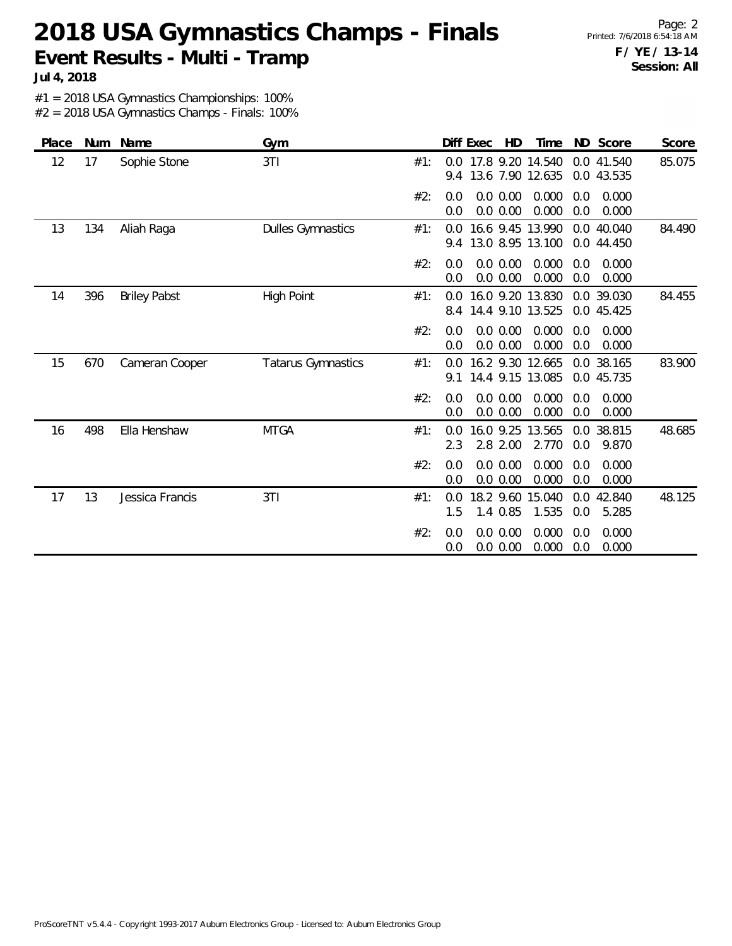**Jul 4, 2018**

#1 = 2018 USA Gymnastics Championships: 100%

| Place | Num | Name                | Gym                       |     | Diff Exec<br>ND Score<br>HD<br>Time<br>Score                                                      |
|-------|-----|---------------------|---------------------------|-----|---------------------------------------------------------------------------------------------------|
| 12    | 17  | Sophie Stone        | 3T1                       | #1: | 0.0 17.8 9.20 14.540<br>85.075<br>0.0 41.540<br>13.6 7.90 12.635<br>0.0 43.535<br>9.4             |
|       |     |                     |                           | #2: | 0.0 0.00<br>0.0<br>0.000<br>0.000<br>0.0<br>0.0 0.00<br>0.000<br>0.0<br>0.0<br>0.000              |
| 13    | 134 | Aliah Raga          | <b>Dulles Gymnastics</b>  | #1: | 16.6 9.45 13.990<br>0.0 40.040<br>84.490<br>0.0<br>13.0 8.95 13.100<br>0.0 44.450<br>9.4          |
|       |     |                     |                           | #2: | 0.0 0.00<br>0.000<br>0.000<br>0.0<br>0.0<br>0.000<br>0.0 0.00<br>0.0<br>0.000<br>0.0              |
| 14    | 396 | <b>Briley Pabst</b> | High Point                | #1: | 16.0 9.20 13.830<br>0.0 39.030<br>84.455<br>0.0<br>14.4 9.10 13.525<br>0.0 45.425<br>8.4          |
|       |     |                     |                           | #2: | 0.000<br>0.0 0.00<br>0.000<br>0.0<br>0.0<br>0.0 0.00<br>0.000<br>0.0<br>0.000<br>0.0              |
| 15    | 670 | Cameran Cooper      | <b>Tatarus Gymnastics</b> | #1: | 83.900<br>16.2 9.30 12.665<br>0.0<br>38.165<br>0.0<br>14.4 9.15 13.085<br>0.0 45.735<br>91        |
|       |     |                     |                           | #2: | 0.0 0.00<br>0.000<br>0.000<br>0.0<br>0.0<br>0.000<br>0.0 0.00<br>0.0<br>0.000<br>0.0              |
| 16    | 498 | Ella Henshaw        | <b>MTGA</b>               | #1: | 16.0 9.25<br>13.565<br>38.815<br>48.685<br>0.0<br>0.0<br>2.8 2.00<br>2.770<br>2.3<br>0.0<br>9.870 |
|       |     |                     |                           | #2: | 0.0 0.00<br>0.000<br>0.000<br>0.0<br>0.0<br>0.000<br>0.0 0.00<br>0.0<br>0.000<br>0.0              |
| 17    | 13  | Jessica Francis     | 3TI                       | #1: | 18.2 9.60<br>0.0 42.840<br>0.0<br>15.040<br>48.125<br>1.535<br>1.5<br>1.4 0.85<br>0.0<br>5.285    |
|       |     |                     |                           | #2: | 0.000<br>0.0 0.00<br>0.000<br>0.0<br>0.0<br>0.000<br>0.0 0.00<br>0.000<br>0.0<br>0.0              |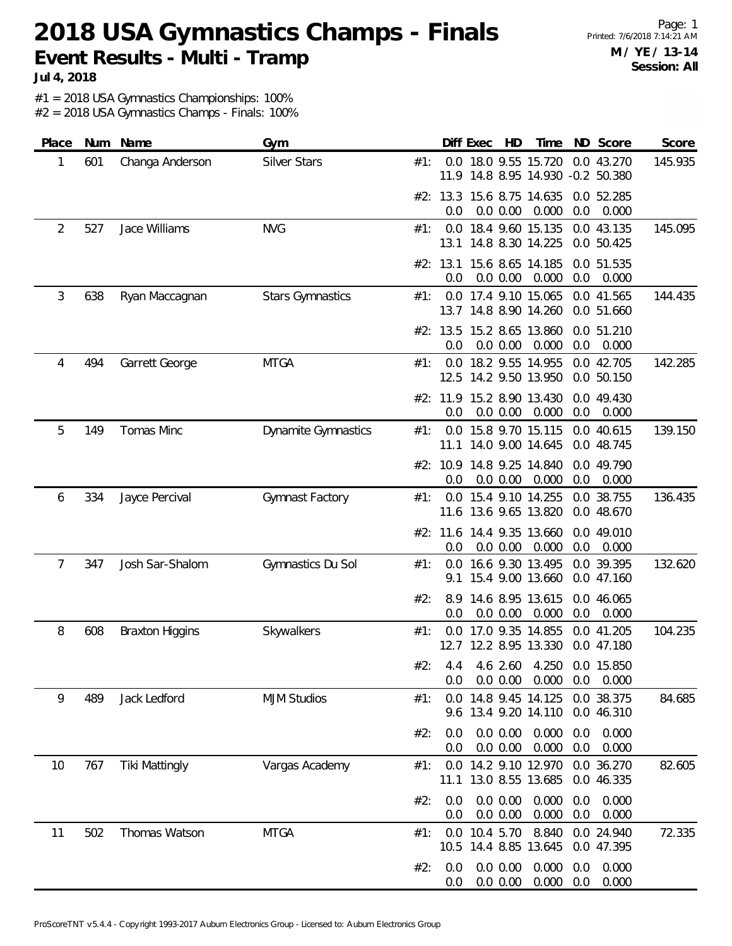**Jul 4, 2018**

#1 = 2018 USA Gymnastics Championships: 100%

| Place          | Num | Name                   | Gym                        |     |                 | Diff Exec     | HD                   | Time                                                      |            | ND Score                 | Score   |
|----------------|-----|------------------------|----------------------------|-----|-----------------|---------------|----------------------|-----------------------------------------------------------|------------|--------------------------|---------|
| 1              | 601 | Changa Anderson        | Silver Stars               | #1: |                 |               |                      | 0.0 18.0 9.55 15.720<br>11.9 14.8 8.95 14.930 -0.2 50.380 |            | 0.0 43.270               | 145.935 |
|                |     |                        |                            |     | 0.0             |               | 0.0 0.00             | #2: 13.3 15.6 8.75 14.635<br>0.000                        | 0.0        | 0.0 52.285<br>0.000      |         |
| $\overline{2}$ | 527 | Jace Williams          | <b>NVG</b>                 | #1: | 13.1            |               |                      | 0.0 18.4 9.60 15.135<br>14.8 8.30 14.225                  |            | 0.0 43.135<br>0.0 50.425 | 145.095 |
|                |     |                        |                            |     | #2: 13.1<br>0.0 |               | 0.0 0.00             | 15.6 8.65 14.185<br>0.000                                 | 0.0        | 0.0 51.535<br>0.000      |         |
| 3              | 638 | Ryan Maccagnan         | <b>Stars Gymnastics</b>    | #1: | 0.0             |               |                      | 17.4 9.10 15.065<br>13.7 14.8 8.90 14.260                 |            | 0.0 41.565<br>0.0 51.660 | 144.435 |
|                |     |                        |                            |     | #2: 13.5<br>0.0 |               | 0.0 0.00             | 15.2 8.65 13.860<br>0.000                                 | 0.0        | 0.0 51.210<br>0.000      |         |
| 4              | 494 | Garrett George         | <b>MTGA</b>                | #1: |                 |               |                      | 0.0 18.2 9.55 14.955<br>12.5 14.2 9.50 13.950             |            | 0.0 42.705<br>0.0 50.150 | 142.285 |
|                |     |                        |                            |     | 0.0             |               | 0.0 0.00             | #2: 11.9 15.2 8.90 13.430<br>0.000                        | 0.0        | 0.0 49.430<br>0.000      |         |
| 5              | 149 | Tomas Minc             | <b>Dynamite Gymnastics</b> | #1: |                 |               |                      | 0.0 15.8 9.70 15.115<br>11.1 14.0 9.00 14.645             |            | 0.0 40.615<br>0.0 48.745 | 139.150 |
|                |     |                        |                            |     | #2: 10.9<br>0.0 |               | 0.0 0.00             | 14.8 9.25 14.840<br>0.000                                 | 0.0        | 0.0 49.790<br>0.000      |         |
| 6              | 334 | Jayce Percival         | Gymnast Factory            | #1: | 0.0             |               |                      | 15.4 9.10 14.255<br>11.6 13.6 9.65 13.820                 |            | 0.0 38.755<br>0.0 48.670 | 136.435 |
|                |     |                        |                            |     | 0.0             |               | 0.0 0.00             | #2: 11.6 14.4 9.35 13.660<br>0.000                        | 0.0        | 0.0 49.010<br>0.000      |         |
| 7              | 347 | Josh Sar-Shalom        | Gymnastics Du Sol          | #1: | 0.0<br>9.1      |               |                      | 16.6 9.30 13.495<br>15.4 9.00 13.660                      |            | 0.0 39.395<br>0.0 47.160 | 132.620 |
|                |     |                        |                            | #2: | 8.9<br>0.0      |               | 0.0 0.00             | 14.6 8.95 13.615<br>0.000                                 | 0.0        | 0.0 46.065<br>0.000      |         |
| 8              | 608 | <b>Braxton Higgins</b> | Skywalkers                 | #1: |                 |               |                      | 0.0 17.0 9.35 14.855<br>12.7 12.2 8.95 13.330             |            | 0.0 41.205<br>0.0 47.180 | 104.235 |
|                |     |                        |                            | #2: | 0.0             |               | 0.0 0.00             | 4.4 4.6 2.60 4.250 0.0 15.850<br>0.000                    | 0.0        | 0.000                    |         |
| 9              | 489 | Jack Ledford           | <b>MJM Studios</b>         | #1: | 0.0             |               |                      | 14.8 9.45 14.125<br>9.6 13.4 9.20 14.110                  |            | 0.0 38.375<br>0.0 46.310 | 84.685  |
|                |     |                        |                            | #2: | 0.0<br>0.0      |               | 0.0 0.00<br>0.0 0.00 | 0.000<br>0.000                                            | 0.0<br>0.0 | 0.000<br>0.000           |         |
| 10             | 767 | <b>Tiki Mattingly</b>  | Vargas Academy             | #1: | 0.0<br>11.1     |               |                      | 14.2 9.10 12.970<br>13.0 8.55 13.685                      |            | 0.0 36.270<br>0.0 46.335 | 82.605  |
|                |     |                        |                            | #2: | 0.0<br>0.0      |               | 0.0 0.00<br>0.0 0.00 | 0.000<br>0.000                                            | 0.0<br>0.0 | 0.000<br>0.000           |         |
| 11             | 502 | Thomas Watson          | <b>MTGA</b>                | #1: |                 | 0.0 10.4 5.70 |                      | 8.840<br>10.5 14.4 8.85 13.645                            |            | 0.0 24.940<br>0.0 47.395 | 72.335  |
|                |     |                        |                            | #2: | 0.0<br>0.0      |               | 0.0 0.00<br>0.0 0.00 | 0.000<br>0.000                                            | 0.0<br>0.0 | 0.000<br>0.000           |         |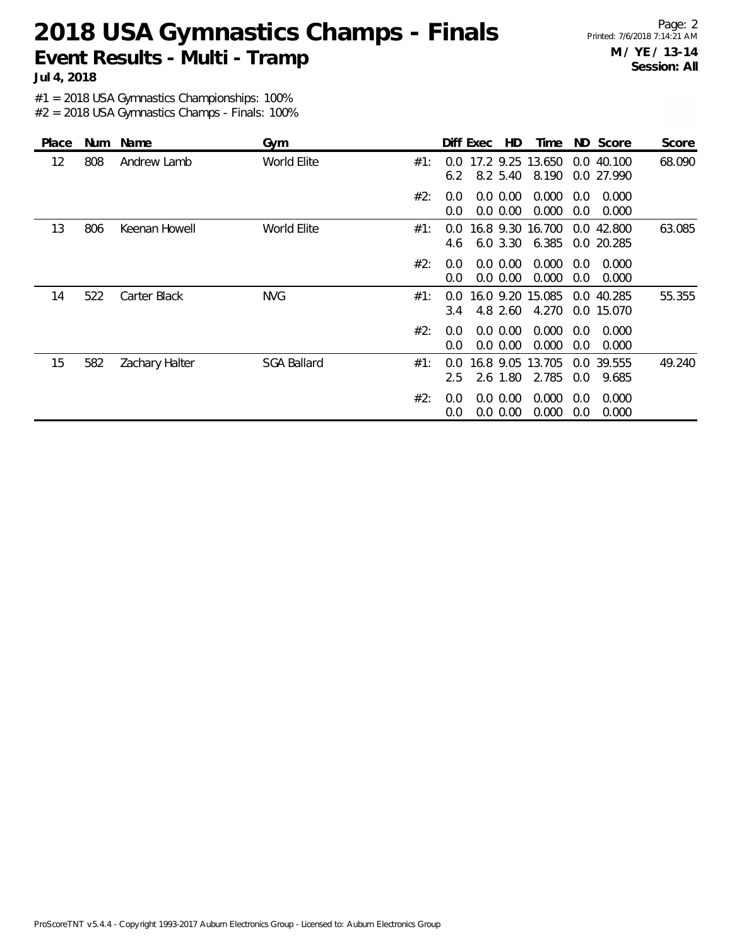**Jul 4, 2018**

#1 = 2018 USA Gymnastics Championships: 100%

| <b>Place</b> | Num | Name           | Gym                |     |                                | Diff Exec | HD.                        | Time                      |            | ND Score                 | Score  |
|--------------|-----|----------------|--------------------|-----|--------------------------------|-----------|----------------------------|---------------------------|------------|--------------------------|--------|
| 12           | 808 | Andrew Lamb    | World Elite        | #1: | $0.0^{\circ}$<br>6.2           |           | 8.2 5.40                   | 17.2 9.25 13.650<br>8.190 |            | 0.0 40.100<br>0.0 27.990 | 68.090 |
|              |     |                |                    | #2: | $0.0^{\circ}$<br>0.0           |           | $0.0\,0.00$<br>0.0 0.00    | 0.000<br>0.000            | 0.0<br>0.0 | 0.000<br>0.000           |        |
| 13           | 806 | Keenan Howell  | World Elite        | #1: | $0.0^{\circ}$<br>4.6           |           | 16.8 9.30<br>6.0 3.30      | 16.700<br>6.385           |            | 0.0 42.800<br>0.0 20.285 | 63.085 |
|              |     |                |                    | #2: | 0.0<br>0.0                     |           | $0.0\,0.00$<br>$0.0\,0.00$ | 0.000<br>0.000            | 0.0<br>0.0 | 0.000<br>0.000           |        |
| 14           | 522 | Carter Black   | <b>NVG</b>         | #1: | $0.0^{\circ}$<br>$3.4^{\circ}$ |           | 16.0 9.20<br>4.8 2.60      | 15.085<br>4.270           | 0.0        | 40.285<br>0.0 15.070     | 55.355 |
|              |     |                |                    | #2: | $0.0^{\circ}$<br>0.0           |           | $0.0\,0.00$<br>$0.0\,0.00$ | 0.000<br>0.000            | 0.0<br>0.0 | 0.000<br>0.000           |        |
| 15           | 582 | Zachary Halter | <b>SGA Ballard</b> | #1: | $0.0^{\circ}$<br>$2.5^{\circ}$ |           | 16.8 9.05<br>2.6 1.80      | 13.705<br>2.785           | 0.0        | 0.0 39.555<br>9.685      | 49.240 |
|              |     |                |                    | #2: | 0.0<br>0.0                     |           | 0.0 0.00<br>$0.0\ 0.00$    | 0.000<br>0.000            | 0.0<br>0.0 | 0.000<br>0.000           |        |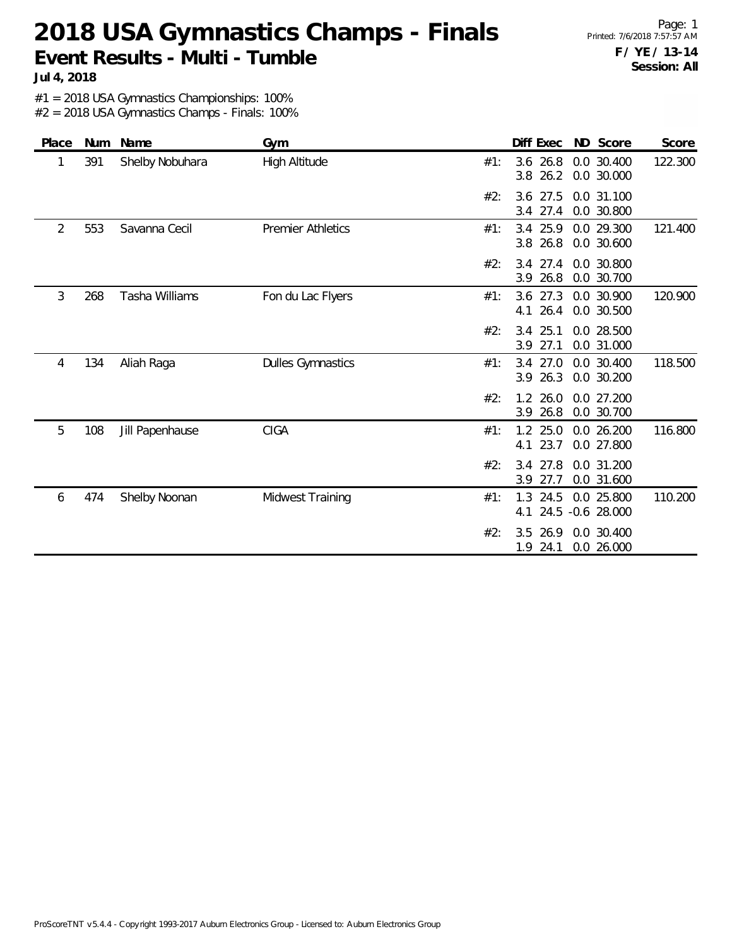**Jul 4, 2018**

#1 = 2018 USA Gymnastics Championships: 100%

| Place | Num | Name            | Gym                      |     | Diff Exec                  | ND Score                    | Score   |
|-------|-----|-----------------|--------------------------|-----|----------------------------|-----------------------------|---------|
| 1     | 391 | Shelby Nobuhara | High Altitude            | #1: | $3.6$ 26.8<br>26.2<br>3.8  | 0.0 30.400<br>0.0 30.000    | 122.300 |
|       |     |                 |                          | #2: | 3.6 27.5<br>3.4 27.4       | 0.0 31.100<br>0.0 30.800    |         |
| 2     | 553 | Savanna Cecil   | <b>Premier Athletics</b> | #1: | 3.4 25.9<br>3.8 26.8       | 0.0 29.300<br>0.0 30.600    | 121.400 |
|       |     |                 |                          | #2: | $3.4$ 27.4<br>26.8<br>3.9  | 0.0 30.800<br>0.0 30.700    |         |
| 3     | 268 | Tasha Williams  | Fon du Lac Flyers        | #1: | $3.6$ 27.3<br>26.4<br>4.1  | 0.0 30.900<br>0.0 30.500    | 120.900 |
|       |     |                 |                          | #2: | $3.4$ 25.1<br>3.9<br>27.1  | 0.0 28.500<br>0.0 31.000    |         |
| 4     | 134 | Aliah Raga      | <b>Dulles Gymnastics</b> | #1: | 3.4 27.0<br>3.9 26.3       | 0.0 30.400<br>0.0 30.200    | 118.500 |
|       |     |                 |                          | #2: | 26.0<br>1.2<br>3.9 26.8    | 0.0 27.200<br>0.0 30.700    |         |
| 5     | 108 | Jill Papenhause | <b>CIGA</b>              | #1: | 1.2 25.0<br>23.7<br>4.1    | 0.0 26.200<br>0.0 27.800    | 116.800 |
|       |     |                 |                          | #2: | 27.8<br>3.4<br>3.9<br>27.7 | 0.0 31.200<br>0.0 31.600    |         |
| 6     | 474 | Shelby Noonan   | Midwest Training         | #1: | 1.3 24.5<br>24.5<br>4.1    | 0.0 25.800<br>$-0.6$ 28.000 | 110.200 |
|       |     |                 |                          | #2: | 3.5<br>26.9<br>1.9 24.1    | 0.0 30.400<br>0.0 26.000    |         |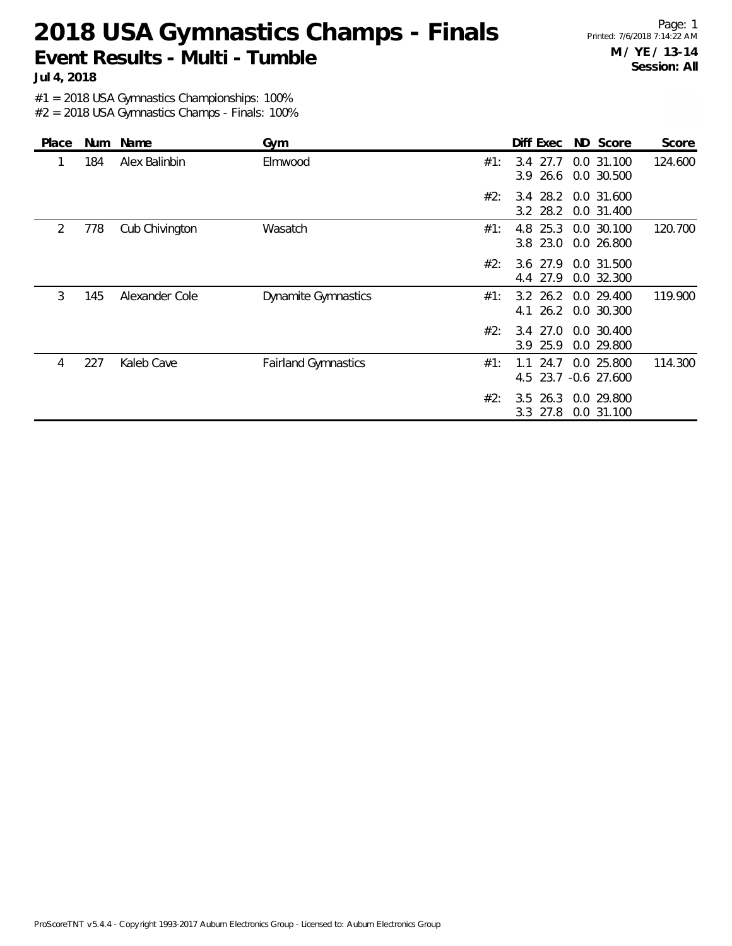Page: 1 Printed: 7/6/2018 7:14:22 AM **M / YE / 13-14 Session: All**

**Jul 4, 2018**

#1 = 2018 USA Gymnastics Championships: 100%

| Place | Num | Name           | Gym                        |     | Diff Exec                    | ND Score                           | Score   |
|-------|-----|----------------|----------------------------|-----|------------------------------|------------------------------------|---------|
|       | 184 | Alex Balinbin  | Elmwood                    | #1: | 3.4 27.7<br>26.6<br>3.9      | 0.0 31.100<br>0.0 30.500           | 124.600 |
|       |     |                |                            | #2: | 3.2 28.2                     | 3.4 28.2 0.0 31.600<br>0.0 31.400  |         |
| 2     | 778 | Cub Chivington | Wasatch                    | #1: | 25.3<br>4.8<br>3.8 23.0      | 0.0 30.100<br>0.0 26.800           | 120.700 |
|       |     |                |                            | #2: | 3.6 27.9<br>4.4 27.9         | 0.0 31.500<br>0.0 32.300           |         |
| 3     | 145 | Alexander Cole | <b>Dynamite Gymnastics</b> | #1: | $3.2 \, 26.2$<br>26.2<br>4.1 | 0.0 29.400<br>0.0 30.300           | 119.900 |
|       |     |                |                            | #2: | 3.9 25.9                     | 3.4 27.0 0.0 30.400<br>0.0 29.800  |         |
| 4     | 227 | Kaleb Cave     | <b>Fairland Gymnastics</b> | #1: | 24.7<br>1.1                  | 0.0 25.800<br>4.5 23.7 -0.6 27.600 | 114.300 |
|       |     |                |                            | #2: | $3.5$ 26.3<br>3.3 27.8       | 0.0 29.800<br>0.0 31.100           |         |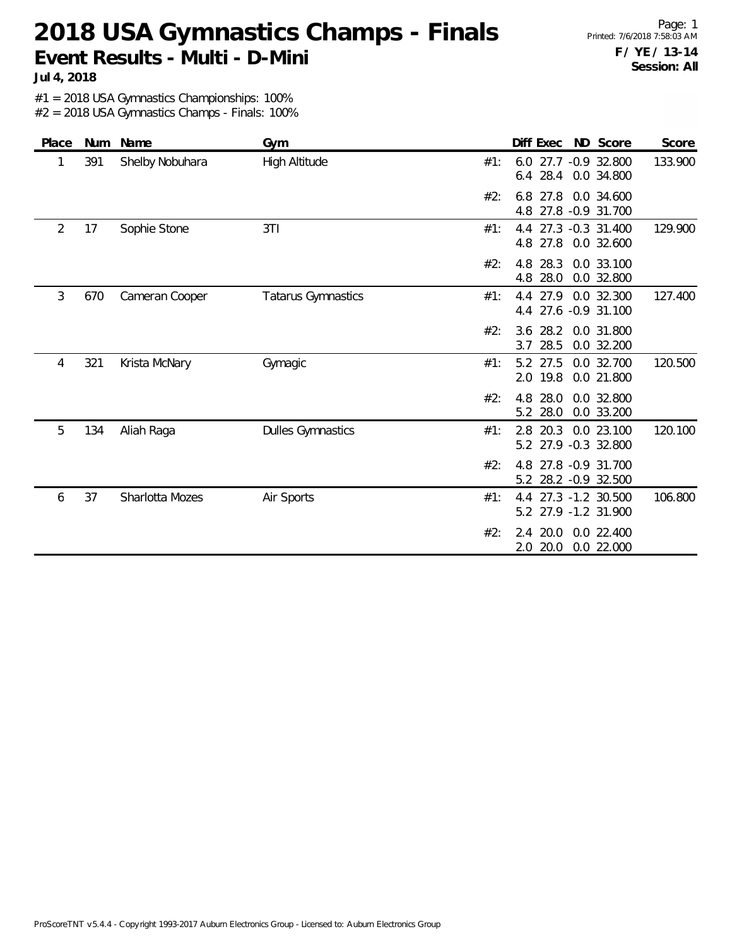**Jul 4, 2018**

#1 = 2018 USA Gymnastics Championships: 100%

| Place | Num | Name            | Gym                       | Diff Exec<br>ND Score<br>Score                                      |
|-------|-----|-----------------|---------------------------|---------------------------------------------------------------------|
| 1     | 391 | Shelby Nobuhara | High Altitude             | 133.900<br>#1:<br>6.0<br>27.7 -0.9 32.800<br>6.4 28.4 0.0 34.800    |
|       |     |                 |                           | 27.8<br>6.8<br>0.0 34.600<br>#2:<br>4.8 27.8 -0.9 31.700            |
| 2     | 17  | Sophie Stone    | 3T1                       | 129.900<br>4.4 27.3 -0.3 31.400<br>#1:<br>27.8<br>0.0 32.600<br>4.8 |
|       |     |                 |                           | 28.3<br>0.0 33.100<br>#2:<br>4.8<br>28.0<br>4.8<br>0.0 32.800       |
| 3     | 670 | Cameran Cooper  | <b>Tatarus Gymnastics</b> | 127.400<br>4.4 27.9<br>0.0 32.300<br>#1:<br>27.6 -0.9 31.100<br>4.4 |
|       |     |                 |                           | 3.6 28.2<br>0.0 31.800<br>#2:<br>28.5<br>3.7<br>0.0 32.200          |
| 4     | 321 | Krista McNary   | Gymagic                   | 5.2 27.5<br>0.0 32.700<br>120.500<br>#1:<br>2.0 19.8<br>0.0 21.800  |
|       |     |                 |                           | 28.0<br>#2:<br>4.8<br>0.0 32.800<br>28.0<br>0.0 33.200<br>5.2       |
| 5     | 134 | Aliah Raga      | <b>Dulles Gymnastics</b>  | 20.3 0.0 23.100<br>120.100<br>#1:<br>2.8<br>5.2 27.9 -0.3 32.800    |
|       |     |                 |                           | 27.8 -0.9 31.700<br>#2:<br>4.8<br>5.2 28.2 -0.9 32.500              |
| 6     | 37  | Sharlotta Mozes | Air Sports                | 4.4 27.3 -1.2 30.500<br>106.800<br>#1:<br>5.2 27.9 -1.2 31.900      |
|       |     |                 |                           | #2:<br>2.4 20.0<br>0.0 22.400<br>20.0<br>0.0 22.000<br>2.0          |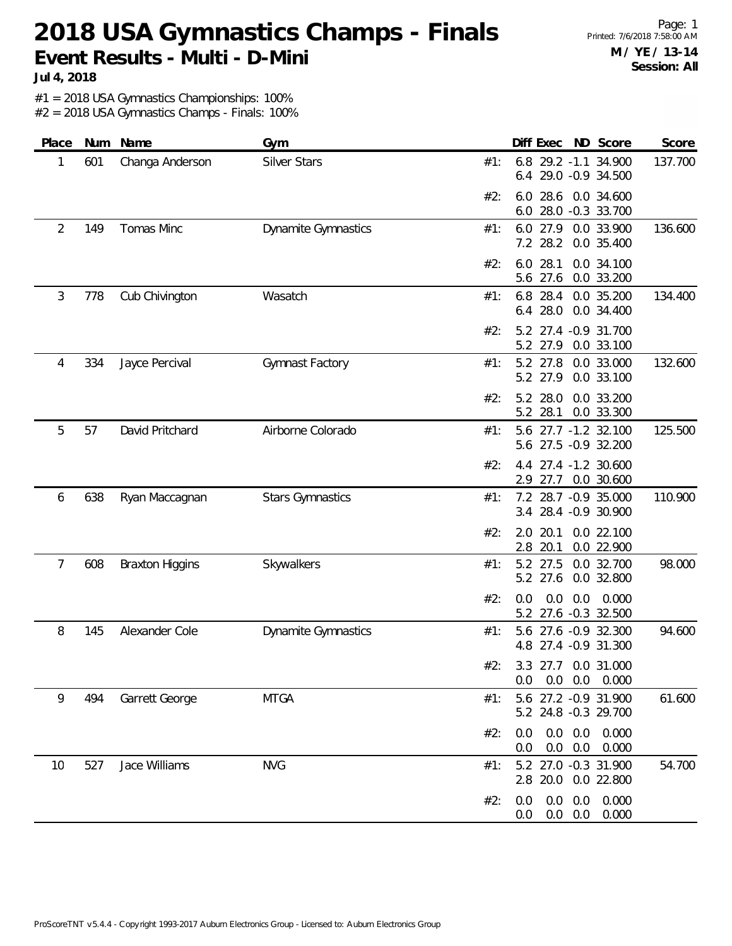Page: 1 Printed: 7/6/2018 7:58:00 AM **M / YE / 13-14 Session: All**

**Jul 4, 2018**

#1 = 2018 USA Gymnastics Championships: 100%

| Place | Num | Name                   | Gym                        | Score<br>Diff Exec<br>ND Score                                           |
|-------|-----|------------------------|----------------------------|--------------------------------------------------------------------------|
| 1     | 601 | Changa Anderson        | Silver Stars               | 6.8 29.2 -1.1 34.900<br>137.700<br>#1:<br>6.4 29.0 -0.9 34.500           |
|       |     |                        |                            | 6.0 28.6 0.0 34.600<br>#2:<br>28.0 -0.3 33.700<br>6.0                    |
| 2     | 149 | Tomas Minc             | <b>Dynamite Gymnastics</b> | 6.0 27.9<br>0.0 33.900<br>136.600<br>#1:<br>7.2 28.2<br>0.0 35.400       |
|       |     |                        |                            | 28.1<br>0.0 34.100<br>#2:<br>6.0<br>5.6 27.6<br>0.0 33.200               |
| 3     | 778 | Cub Chivington         | Wasatch                    | 134.400<br>6.8<br>28.4<br>0.0 35.200<br>#1:<br>28.0<br>0.0 34.400<br>6.4 |
|       |     |                        |                            | 5.2 27.4 -0.9 31.700<br>#2:<br>5.2 27.9<br>0.0 33.100                    |
| 4     | 334 | Jayce Percival         | Gymnast Factory            | 5.2 27.8<br>0.0 33.000<br>132.600<br>#1:<br>5.2 27.9<br>0.0 33.100       |
|       |     |                        |                            | 0.0 33.200<br>#2:<br>5.2 28.0<br>5.2<br>28.1<br>0.0 33.300               |
| 5     | 57  | David Pritchard        | Airborne Colorado          | 27.7 -1.2 32.100<br>125.500<br>#1:<br>5.6<br>5.6 27.5 -0.9 32.200        |
|       |     |                        |                            | 4.4 27.4 -1.2 30.600<br>#2:<br>2.9 27.7<br>0.0 30.600                    |
| 6     | 638 | Ryan Maccagnan         | <b>Stars Gymnastics</b>    | 110.900<br>7.2 28.7 -0.9 35.000<br>#1:<br>3.4 28.4 -0.9 30.900           |
|       |     |                        |                            | 20.1<br>#2:<br>2.0<br>0.0 22.100<br>2.8<br>20.1<br>0.0 22.900            |
| 7     | 608 | <b>Braxton Higgins</b> | Skywalkers                 | 5.2 27.5<br>0.0 32.700<br>98.000<br>#1:<br>5.2 27.6<br>0.0 32.800        |
|       |     |                        |                            | 0.000<br>#2:<br>0.0<br>0.0<br>0.0<br>27.6 -0.3 32.500<br>5.2             |
| 8     | 145 | Alexander Cole         | Dynamite Gymnastics        | 27.6 -0.9 32.300<br>94.600<br>#1:<br>5.6<br>4.8 27.4 -0.9 31.300         |
|       |     |                        |                            | #2۰<br>3.3 27.7 0.0 31.000<br>$0.0$ $0.0$ $0.0$ $0.000$                  |
| 9     | 494 | Garrett George         | <b>MTGA</b>                | 5.6 27.2 -0.9 31.900<br>61.600<br>#1:<br>5.2 24.8 -0.3 29.700            |
|       |     |                        |                            | $0.0$ $0.0$ $0.000$<br>#2:<br>0.0<br>$0.0$ $0.0$ $0.000$<br>$0.0\,$      |
| 10    | 527 | Jace Williams          | <b>NVG</b>                 | 5.2 27.0 -0.3 31.900<br>54.700<br>#1:<br>2.8 20.0 0.0 22.800             |
|       |     |                        |                            | $0.0\quad 0.0$<br>0.000<br>#2:<br>0.0<br>$0.0\quad 0.0$<br>0.000<br>0.0  |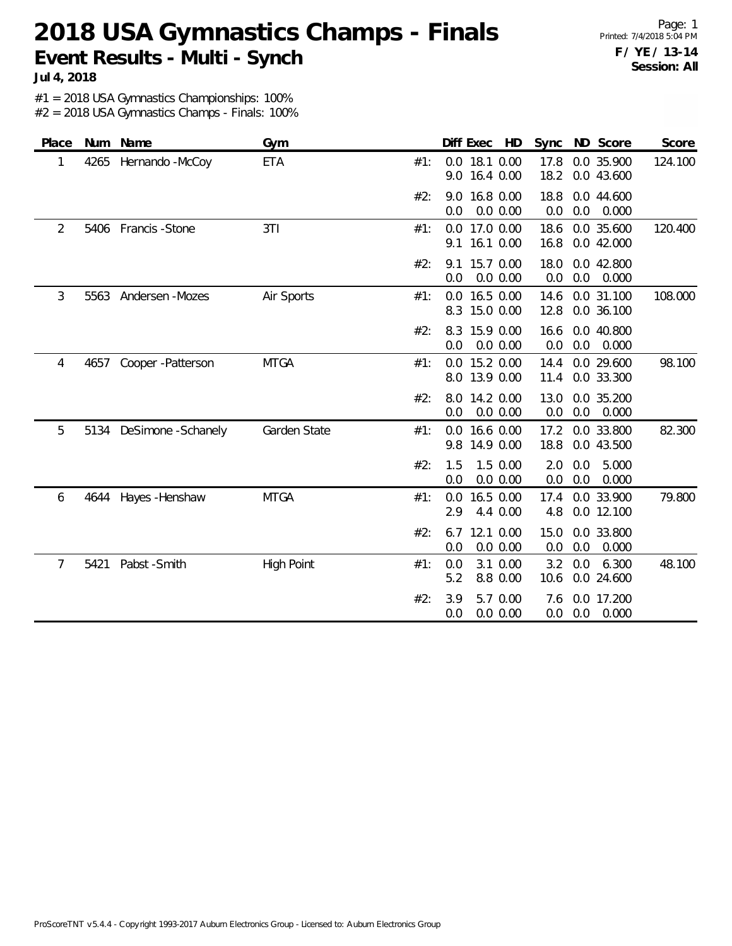Page: 1 Printed: 7/4/2018 5:04 PM **F / YE / 13-14 Session: All**

**Jul 4, 2018**

#1 = 2018 USA Gymnastics Championships: 100%

| Place |      | Num Name              | Gym               |     | Diff Exec HD                         | Sync ND Score                              | Score   |
|-------|------|-----------------------|-------------------|-----|--------------------------------------|--------------------------------------------|---------|
| 1     | 4265 | Hernando -McCoy       | <b>ETA</b>        | #1: | 18.1 0.00<br>0.0<br>9.0<br>16.4 0.00 | 0.0 35.900<br>17.8<br>18.2<br>0.0 43.600   | 124.100 |
|       |      |                       |                   | #2: | 16.8 0.00<br>9.0<br>0.0 0.00<br>0.0  | 18.8<br>0.0 44.600<br>0.0<br>0.0<br>0.000  |         |
| 2     |      | 5406 Francis - Stone  | 3T1               | #1: | 0.0 17.0 0.00<br>9.1<br>16.1 0.00    | 18.6<br>0.0 35.600<br>16.8<br>0.0 42.000   | 120.400 |
|       |      |                       |                   | #2: | 15.7 0.00<br>9.1<br>0.0<br>0.0 0.00  | 18.0<br>0.0 42.800<br>0.0<br>0.0<br>0.000  |         |
| 3     |      | 5563 Andersen - Mozes | Air Sports        | #1: | 16.5 0.00<br>0.0<br>8.3<br>15.0 0.00 | 0.0 31.100<br>14.6<br>12.8<br>0.0 36.100   | 108.000 |
|       |      |                       |                   | #2: | 15.9 0.00<br>8.3<br>0.0<br>0.0 0.00  | 0.0 40.800<br>16.6<br>0.0<br>0.0<br>0.000  |         |
| 4     | 4657 | Cooper - Patterson    | <b>MTGA</b>       | #1: | 15.2 0.00<br>0.0<br>8.0 13.9 0.00    | 0.0 29.600<br>14.4<br>0.0 33.300<br>11.4   | 98.100  |
|       |      |                       |                   | #2: | 8.0<br>14.2 0.00<br>0.0 0.00<br>0.0  | 13.0<br>0.0 35.200<br>0.0<br>0.000<br>0.0  |         |
| 5     | 5134 | DeSimone -Schanely    | Garden State      | #1: | 16.6 0.00<br>0.0<br>14.9 0.00<br>9.8 | 0.0 33.800<br>17.2<br>18.8<br>0.0 43.500   | 82.300  |
|       |      |                       |                   | #2: | 1.5 0.00<br>1.5<br>0.0<br>0.0 0.00   | 2.0<br>0.0<br>5.000<br>0.0<br>0.0<br>0.000 |         |
| 6     | 4644 | Hayes - Henshaw       | <b>MTGA</b>       | #1: | 16.5 0.00<br>0.0<br>2.9<br>4.4 0.00  | 0.0 33.900<br>17.4<br>4.8<br>0.0 12.100    | 79.800  |
|       |      |                       |                   | #2: | 12.1 0.00<br>6.7<br>0.0 0.00<br>0.0  | 15.0<br>0.0 33.800<br>0.0<br>0.0<br>0.000  |         |
| 7     | 5421 | Pabst -Smith          | <b>High Point</b> | #1: | 0.0<br>3.1 0.00<br>5.2<br>8.8 0.00   | 6.300<br>3.2<br>0.0<br>10.6<br>0.0 24.600  | 48.100  |
|       |      |                       |                   | #2: | 3.9<br>5.7 0.00<br>0.0 0.00<br>0.0   | 0.0 17.200<br>7.6<br>0.0<br>0.0<br>0.000   |         |